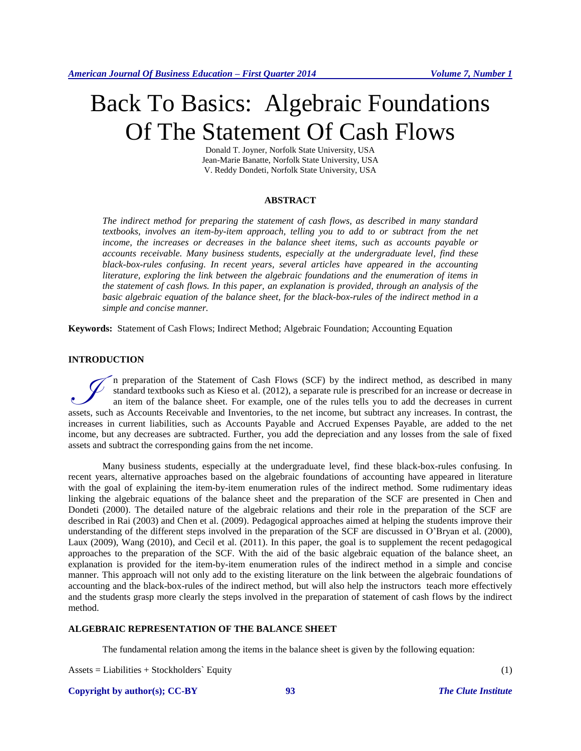# Back To Basics: Algebraic Foundations Of The Statement Of Cash Flows

Donald T. Joyner, Norfolk State University, USA Jean-Marie Banatte, Norfolk State University, USA V. Reddy Dondeti, Norfolk State University, USA

#### **ABSTRACT**

*The indirect method for preparing the statement of cash flows, as described in many standard textbooks, involves an item-by-item approach, telling you to add to or subtract from the net income, the increases or decreases in the balance sheet items, such as accounts payable or accounts receivable. Many business students, especially at the undergraduate level, find these black-box-rules confusing. In recent years, several articles have appeared in the accounting literature, exploring the link between the algebraic foundations and the enumeration of items in the statement of cash flows. In this paper, an explanation is provided, through an analysis of the basic algebraic equation of the balance sheet, for the black-box-rules of the indirect method in a simple and concise manner.*

**Keywords:** Statement of Cash Flows; Indirect Method; Algebraic Foundation; Accounting Equation

# **INTRODUCTION**

n preparation of the Statement of Cash Flows (SCF) by the indirect method, as described in many standard textbooks such as Kieso et al. (2012), a separate rule is prescribed for an increase or decrease in an item of the balance sheet. For example, one of the rules tells you to add the decreases in current In preparation of the Statement of Cash Flows (SCF) by the indirect method, as described in many standard textbooks such as Kieso et al. (2012), a separate rule is prescribed for an increase or decrease in an internet of t increases in current liabilities, such as Accounts Payable and Accrued Expenses Payable, are added to the net income, but any decreases are subtracted. Further, you add the depreciation and any losses from the sale of fixed assets and subtract the corresponding gains from the net income.

Many business students, especially at the undergraduate level, find these black-box-rules confusing. In recent years, alternative approaches based on the algebraic foundations of accounting have appeared in literature with the goal of explaining the item-by-item enumeration rules of the indirect method. Some rudimentary ideas linking the algebraic equations of the balance sheet and the preparation of the SCF are presented in Chen and Dondeti (2000). The detailed nature of the algebraic relations and their role in the preparation of the SCF are described in Rai (2003) and Chen et al. (2009). Pedagogical approaches aimed at helping the students improve their understanding of the different steps involved in the preparation of the SCF are discussed in O'Bryan et al. (2000), Laux (2009), Wang (2010), and Cecil et al. (2011). In this paper, the goal is to supplement the recent pedagogical approaches to the preparation of the SCF. With the aid of the basic algebraic equation of the balance sheet, an explanation is provided for the item-by-item enumeration rules of the indirect method in a simple and concise manner. This approach will not only add to the existing literature on the link between the algebraic foundations of accounting and the black-box-rules of the indirect method, but will also help the instructors teach more effectively and the students grasp more clearly the steps involved in the preparation of statement of cash flows by the indirect method.

#### **ALGEBRAIC REPRESENTATION OF THE BALANCE SHEET**

The fundamental relation among the items in the balance sheet is given by the following equation:

Assets = Liabilities + Stockholders` Equity (1)

**Copyright by author(s)[; CC-BY](http://creativecommons.org/licenses/by/3.0/) 93** *[The Clute Institute](http://www.cluteinstitute.com/)*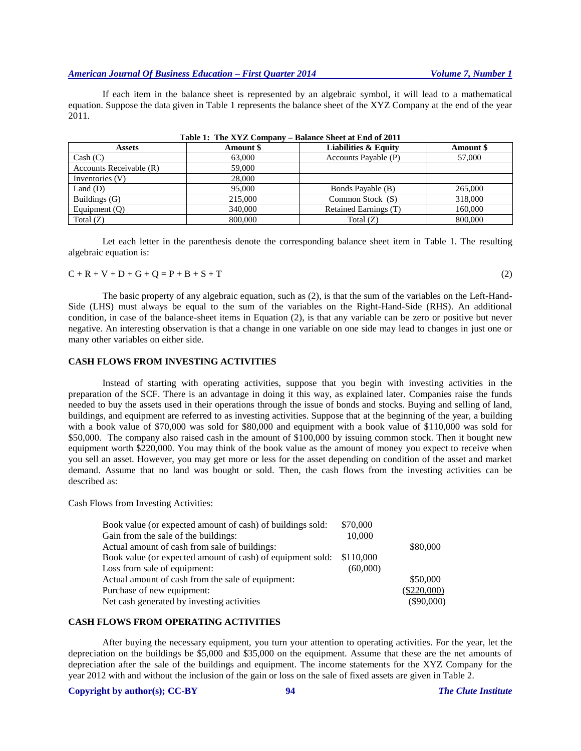If each item in the balance sheet is represented by an algebraic symbol, it will lead to a mathematical equation. Suppose the data given in Table 1 represents the balance sheet of the XYZ Company at the end of the year 2011.

| <b>Assets</b>           | Amount \$ | <b>Liabilities &amp; Equity</b> | Amount \$ |
|-------------------------|-----------|---------------------------------|-----------|
| Cash (C)                | 63,000    | Accounts Payable (P)            | 57,000    |
| Accounts Receivable (R) | 59,000    |                                 |           |
| Inventories (V)         | 28,000    |                                 |           |
| Land $(D)$              | 95,000    | Bonds Payable (B)               | 265,000   |
| Buildings (G)           | 215,000   | Common Stock (S)                | 318,000   |
| Equipment $(Q)$         | 340,000   | Retained Earnings (T)           | 160,000   |
| Total $(Z)$             | 800,000   | Total $(Z)$                     | 800,000   |

| Table 1: The XYZ Company – Balance Sheet at End of 2011 |
|---------------------------------------------------------|
|---------------------------------------------------------|

Let each letter in the parenthesis denote the corresponding balance sheet item in Table 1. The resulting algebraic equation is:

 $C + R + V + D + G + Q = P + B + S + T$  (2)

The basic property of any algebraic equation, such as (2), is that the sum of the variables on the Left-Hand-Side (LHS) must always be equal to the sum of the variables on the Right-Hand-Side (RHS). An additional condition, in case of the balance-sheet items in Equation (2), is that any variable can be zero or positive but never negative. An interesting observation is that a change in one variable on one side may lead to changes in just one or many other variables on either side.

## **CASH FLOWS FROM INVESTING ACTIVITIES**

Instead of starting with operating activities, suppose that you begin with investing activities in the preparation of the SCF. There is an advantage in doing it this way, as explained later. Companies raise the funds needed to buy the assets used in their operations through the issue of bonds and stocks. Buying and selling of land, buildings, and equipment are referred to as investing activities. Suppose that at the beginning of the year, a building with a book value of \$70,000 was sold for \$80,000 and equipment with a book value of \$110,000 was sold for \$50,000. The company also raised cash in the amount of \$100,000 by issuing common stock. Then it bought new equipment worth \$220,000. You may think of the book value as the amount of money you expect to receive when you sell an asset. However, you may get more or less for the asset depending on condition of the asset and market demand. Assume that no land was bought or sold. Then, the cash flows from the investing activities can be described as:

Cash Flows from Investing Activities:

| \$70,000  |                                                            |
|-----------|------------------------------------------------------------|
| 10,000    |                                                            |
|           | \$80,000                                                   |
| \$110,000 |                                                            |
| (60,000)  |                                                            |
|           | \$50,000                                                   |
|           | $(\$220,000)$                                              |
|           | $(\$90,000)$                                               |
|           | Book value (or expected amount of cash) of equipment sold: |

# **CASH FLOWS FROM OPERATING ACTIVITIES**

After buying the necessary equipment, you turn your attention to operating activities. For the year, let the depreciation on the buildings be \$5,000 and \$35,000 on the equipment. Assume that these are the net amounts of depreciation after the sale of the buildings and equipment. The income statements for the XYZ Company for the year 2012 with and without the inclusion of the gain or loss on the sale of fixed assets are given in Table 2.

#### **Copyright by author(s)[; CC-BY](http://creativecommons.org/licenses/by/3.0/) 94** *[The Clute Institute](http://www.cluteinstitute.com/)*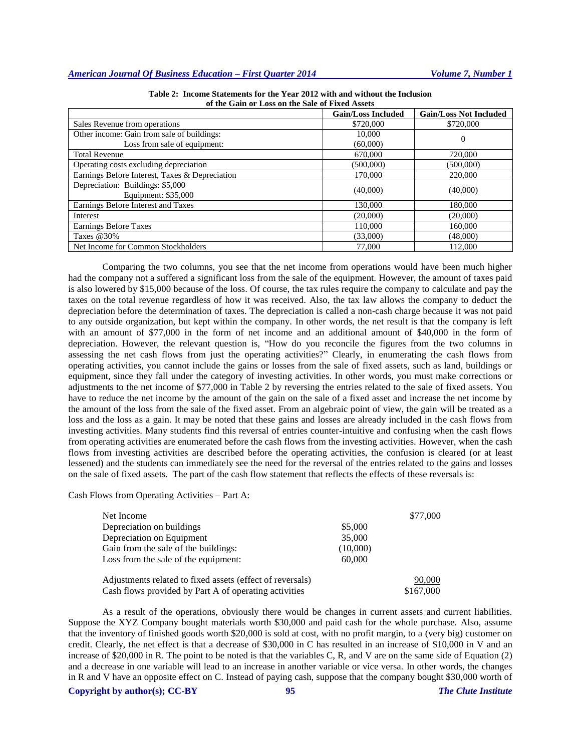|                                                | <b>Gain/Loss Included</b> | <b>Gain/Loss Not Included</b> |  |
|------------------------------------------------|---------------------------|-------------------------------|--|
| Sales Revenue from operations                  | \$720,000                 | \$720,000                     |  |
| Other income: Gain from sale of buildings:     | 10,000                    | $\theta$                      |  |
| Loss from sale of equipment:                   | (60,000)                  |                               |  |
| <b>Total Revenue</b>                           | 670,000                   | 720,000                       |  |
| Operating costs excluding depreciation         | (500,000)                 | (500,000)                     |  |
| Earnings Before Interest, Taxes & Depreciation | 170,000                   | 220,000                       |  |
| Depreciation: Buildings: \$5,000               | (40,000)                  |                               |  |
| Equipment: \$35,000                            |                           | (40,000)                      |  |
| Earnings Before Interest and Taxes             | 130,000                   | 180,000                       |  |
| Interest                                       | (20,000)                  | (20,000)                      |  |
| <b>Earnings Before Taxes</b>                   | 110,000                   | 160,000                       |  |
| Taxes $@30\%$                                  | (33,000)                  | (48,000)                      |  |
| Net Income for Common Stockholders             | 77,000                    | 112,000                       |  |

**Table 2: Income Statements for the Year 2012 with and without the Inclusion of the Gain or Loss on the Sale of Fixed Assets**

Comparing the two columns, you see that the net income from operations would have been much higher had the company not a suffered a significant loss from the sale of the equipment. However, the amount of taxes paid is also lowered by \$15,000 because of the loss. Of course, the tax rules require the company to calculate and pay the taxes on the total revenue regardless of how it was received. Also, the tax law allows the company to deduct the depreciation before the determination of taxes. The depreciation is called a non-cash charge because it was not paid to any outside organization, but kept within the company. In other words, the net result is that the company is left with an amount of \$77,000 in the form of net income and an additional amount of \$40,000 in the form of depreciation. However, the relevant question is, "How do you reconcile the figures from the two columns in assessing the net cash flows from just the operating activities?" Clearly, in enumerating the cash flows from operating activities, you cannot include the gains or losses from the sale of fixed assets, such as land, buildings or equipment, since they fall under the category of investing activities. In other words, you must make corrections or adjustments to the net income of \$77,000 in Table 2 by reversing the entries related to the sale of fixed assets. You have to reduce the net income by the amount of the gain on the sale of a fixed asset and increase the net income by the amount of the loss from the sale of the fixed asset. From an algebraic point of view, the gain will be treated as a loss and the loss as a gain. It may be noted that these gains and losses are already included in the cash flows from investing activities. Many students find this reversal of entries counter-intuitive and confusing when the cash flows from operating activities are enumerated before the cash flows from the investing activities. However, when the cash flows from investing activities are described before the operating activities, the confusion is cleared (or at least lessened) and the students can immediately see the need for the reversal of the entries related to the gains and losses on the sale of fixed assets. The part of the cash flow statement that reflects the effects of these reversals is:

Cash Flows from Operating Activities – Part A:

| Net Income                                                |          | \$77,000  |
|-----------------------------------------------------------|----------|-----------|
| Depreciation on buildings                                 | \$5,000  |           |
| Depreciation on Equipment                                 | 35,000   |           |
| Gain from the sale of the buildings:                      | (10,000) |           |
| Loss from the sale of the equipment:                      | 60,000   |           |
| Adjustments related to fixed assets (effect of reversals) |          | 90,000    |
| Cash flows provided by Part A of operating activities     |          | \$167,000 |

As a result of the operations, obviously there would be changes in current assets and current liabilities. Suppose the XYZ Company bought materials worth \$30,000 and paid cash for the whole purchase. Also, assume that the inventory of finished goods worth \$20,000 is sold at cost, with no profit margin, to a (very big) customer on credit. Clearly, the net effect is that a decrease of \$30,000 in C has resulted in an increase of \$10,000 in V and an increase of \$20,000 in R. The point to be noted is that the variables C, R, and V are on the same side of Equation (2) and a decrease in one variable will lead to an increase in another variable or vice versa. In other words, the changes in R and V have an opposite effect on C. Instead of paying cash, suppose that the company bought \$30,000 worth of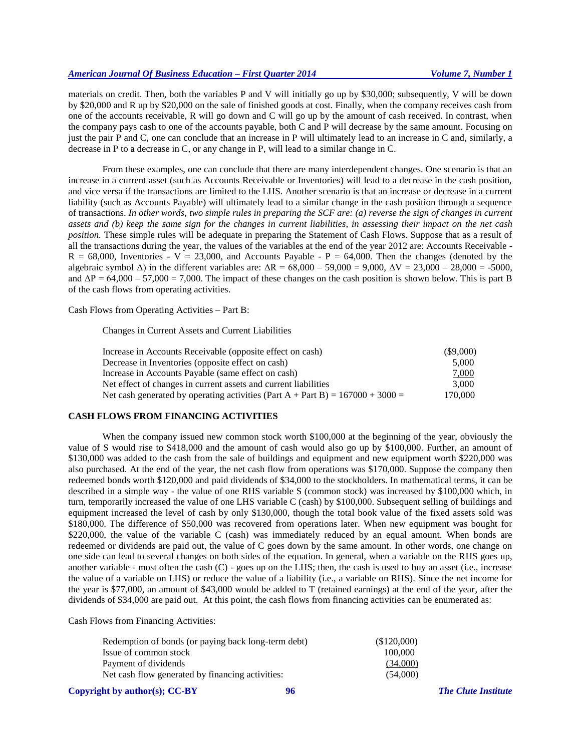# *American Journal Of Business Education – First Quarter 2014 Volume 7, Number 1*

materials on credit. Then, both the variables P and V will initially go up by \$30,000; subsequently, V will be down by \$20,000 and R up by \$20,000 on the sale of finished goods at cost. Finally, when the company receives cash from one of the accounts receivable, R will go down and C will go up by the amount of cash received. In contrast, when the company pays cash to one of the accounts payable, both C and P will decrease by the same amount. Focusing on just the pair P and C, one can conclude that an increase in P will ultimately lead to an increase in C and, similarly, a decrease in P to a decrease in C, or any change in P, will lead to a similar change in C.

From these examples, one can conclude that there are many interdependent changes. One scenario is that an increase in a current asset (such as Accounts Receivable or Inventories) will lead to a decrease in the cash position, and vice versa if the transactions are limited to the LHS. Another scenario is that an increase or decrease in a current liability (such as Accounts Payable) will ultimately lead to a similar change in the cash position through a sequence of transactions. *In other words, two simple rules in preparing the SCF are: (a) reverse the sign of changes in current assets and (b) keep the same sign for the changes in current liabilities, in assessing their impact on the net cash position.* These simple rules will be adequate in preparing the Statement of Cash Flows. Suppose that as a result of all the transactions during the year, the values of the variables at the end of the year 2012 are: Accounts Receivable -  $R = 68,000$ , Inventories - V = 23,000, and Accounts Payable - P = 64,000. Then the changes (denoted by the algebraic symbol  $\Delta$ ) in the different variables are:  $\Delta R = 68,000 - 59,000 = 9,000$ ,  $\Delta V = 23,000 - 28,000 = -5000$ , and  $\Delta P = 64,000 - 57,000 = 7,000$ . The impact of these changes on the cash position is shown below. This is part B of the cash flows from operating activities.

Cash Flows from Operating Activities – Part B:

Changes in Current Assets and Current Liabilities

| Increase in Accounts Receivable (opposite effect on cash)                        | $(\$9,000)$ |
|----------------------------------------------------------------------------------|-------------|
| Decrease in Inventories (opposite effect on cash)                                | 5.000       |
| Increase in Accounts Payable (same effect on cash)                               | 7,000       |
| Net effect of changes in current assets and current liabilities                  | 3.000       |
| Net cash generated by operating activities (Part A + Part B) = $167000 + 3000 =$ | 170,000     |

## **CASH FLOWS FROM FINANCING ACTIVITIES**

When the company issued new common stock worth \$100,000 at the beginning of the year, obviously the value of S would rise to \$418,000 and the amount of cash would also go up by \$100,000. Further, an amount of \$130,000 was added to the cash from the sale of buildings and equipment and new equipment worth \$220,000 was also purchased. At the end of the year, the net cash flow from operations was \$170,000. Suppose the company then redeemed bonds worth \$120,000 and paid dividends of \$34,000 to the stockholders. In mathematical terms, it can be described in a simple way - the value of one RHS variable S (common stock) was increased by \$100,000 which, in turn, temporarily increased the value of one LHS variable C (cash) by \$100,000. Subsequent selling of buildings and equipment increased the level of cash by only \$130,000, though the total book value of the fixed assets sold was \$180,000. The difference of \$50,000 was recovered from operations later. When new equipment was bought for \$220,000, the value of the variable C (cash) was immediately reduced by an equal amount. When bonds are redeemed or dividends are paid out, the value of C goes down by the same amount. In other words, one change on one side can lead to several changes on both sides of the equation. In general, when a variable on the RHS goes up, another variable - most often the cash (C) - goes up on the LHS; then, the cash is used to buy an asset (i.e., increase the value of a variable on LHS) or reduce the value of a liability (i.e., a variable on RHS). Since the net income for the year is \$77,000, an amount of \$43,000 would be added to T (retained earnings) at the end of the year, after the dividends of \$34,000 are paid out. At this point, the cash flows from financing activities can be enumerated as:

Cash Flows from Financing Activities:

| Redemption of bonds (or paying back long-term debt) | (\$120,000) |
|-----------------------------------------------------|-------------|
| Issue of common stock                               | 100,000     |
| Payment of dividends                                | (34.000)    |
| Net cash flow generated by financing activities:    | (54.000)    |
|                                                     |             |

## **Copyright by author(s)[; CC-BY](http://creativecommons.org/licenses/by/3.0/) 96** *[The Clute Institute](http://www.cluteinstitute.com/)*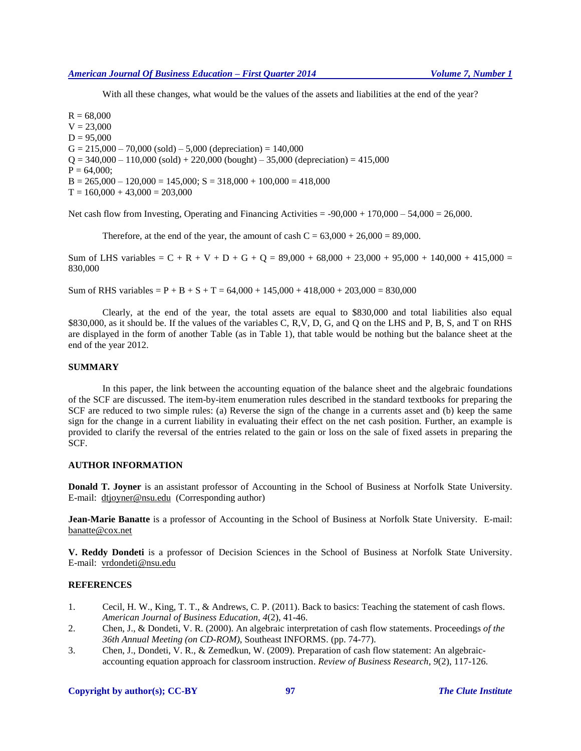With all these changes, what would be the values of the assets and liabilities at the end of the year?

 $R = 68,000$  $V = 23,000$  $D = 95,000$  $G = 215,000 - 70,000$  (sold) – 5,000 (depreciation) = 140,000  $Q = 340,000 - 110,000$  (sold) + 220,000 (bought) – 35,000 (depreciation) = 415,000  $P = 64,000$ ;  $B = 265,000 - 120,000 = 145,000$ ;  $S = 318,000 + 100,000 = 418,000$  $T = 160,000 + 43,000 = 203,000$ 

Net cash flow from Investing, Operating and Financing Activities =  $-90,000 + 170,000 - 54,000 = 26,000$ .

Therefore, at the end of the year, the amount of cash  $C = 63,000 + 26,000 = 89,000$ .

Sum of LHS variables =  $C + R + V + D + G + Q = 89,000 + 68,000 + 23,000 + 95,000 + 140,000 + 415,000 =$ 830,000

Sum of RHS variables  $= P + B + S + T = 64,000 + 145,000 + 418,000 + 203,000 = 830,000$ 

Clearly, at the end of the year, the total assets are equal to \$830,000 and total liabilities also equal \$830,000, as it should be. If the values of the variables C, R,V, D, G, and Q on the LHS and P, B, S, and T on RHS are displayed in the form of another Table (as in Table 1), that table would be nothing but the balance sheet at the end of the year 2012.

## **SUMMARY**

In this paper, the link between the accounting equation of the balance sheet and the algebraic foundations of the SCF are discussed. The item-by-item enumeration rules described in the standard textbooks for preparing the SCF are reduced to two simple rules: (a) Reverse the sign of the change in a currents asset and (b) keep the same sign for the change in a current liability in evaluating their effect on the net cash position. Further, an example is provided to clarify the reversal of the entries related to the gain or loss on the sale of fixed assets in preparing the SCF.

# **AUTHOR INFORMATION**

**Donald T. Joyner** is an assistant professor of Accounting in the School of Business at Norfolk State University. E-mail: [dtjoyner@nsu.edu](mailto:dtjoyner@nsu.edu) (Corresponding author)

**Jean-Marie Banatte** is a professor of Accounting in the School of Business at Norfolk State University. E-mail: banatte@cox.net

**V. Reddy Dondeti** is a professor of Decision Sciences in the School of Business at Norfolk State University. E-mail: vrdondeti@nsu.edu

## **REFERENCES**

- 1. Cecil, H. W., King, T. T., & Andrews, C. P. (2011). Back to basics: Teaching the statement of cash flows. *American Journal of Business Education, 4*(2), 41-46.
- 2. Chen, J., & Dondeti, V. R. (2000). An algebraic interpretation of cash flow statements. Proceedings *of the 36th Annual Meeting (on CD-ROM)*, Southeast INFORMS. (pp. 74-77).
- 3. Chen, J., Dondeti, V. R., & Zemedkun, W. (2009). Preparation of cash flow statement: An algebraicaccounting equation approach for classroom instruction. *Review of Business Research, 9*(2), 117-126.